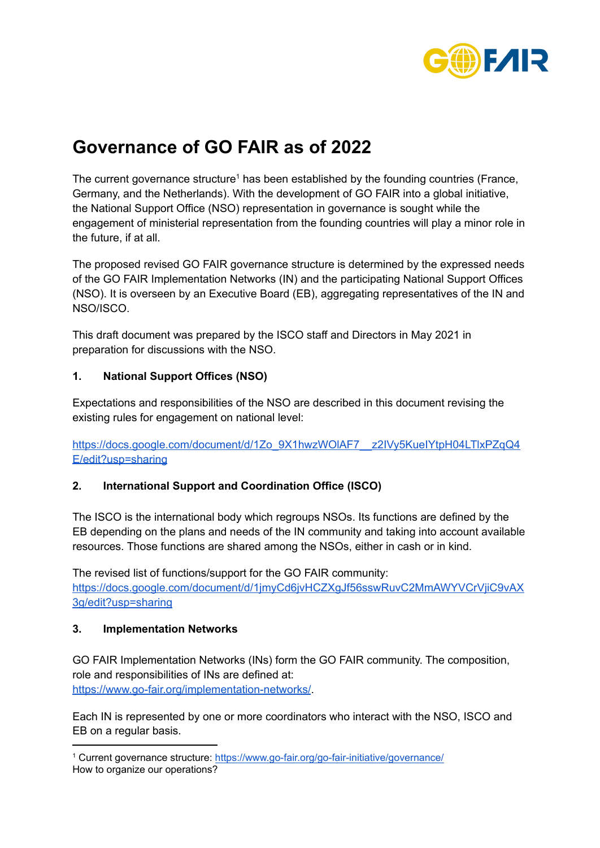

# **Governance of GO FAIR as of 2022**

The current governance structure<sup>1</sup> has been established by the founding countries (France, Germany, and the Netherlands). With the development of GO FAIR into a global initiative, the National Support Office (NSO) representation in governance is sought while the engagement of ministerial representation from the founding countries will play a minor role in the future, if at all.

The proposed revised GO FAIR governance structure is determined by the expressed needs of the GO FAIR Implementation Networks (IN) and the participating National Support Offices (NSO). It is overseen by an Executive Board (EB), aggregating representatives of the IN and NSO/ISCO.

This draft document was prepared by the ISCO staff and Directors in May 2021 in preparation for discussions with the NSO.

## **1. National Support Offices (NSO)**

Expectations and responsibilities of the NSO are described in this document revising the existing rules for engagement on national level:

[https://docs.google.com/document/d/1Zo\\_9X1hwzWOlAF7\\_\\_z2IVy5KueIYtpH04LTlxPZqQ4](https://docs.google.com/document/d/1Zo_9X1hwzWOlAF7__z2IVy5KueIYtpH04LTlxPZqQ4E/edit?usp=sharing) [E/edit?usp=sharing](https://docs.google.com/document/d/1Zo_9X1hwzWOlAF7__z2IVy5KueIYtpH04LTlxPZqQ4E/edit?usp=sharing)

# **2. International Support and Coordination Office (ISCO)**

The ISCO is the international body which regroups NSOs. Its functions are defined by the EB depending on the plans and needs of the IN community and taking into account available resources. Those functions are shared among the NSOs, either in cash or in kind.

The revised list of functions/support for the GO FAIR community: [https://docs.google.com/document/d/1jmyCd6jvHCZXgJf56sswRuvC2MmAWYVCrVjiC9vAX](https://docs.google.com/document/d/1jmyCd6jvHCZXgJf56sswRuvC2MmAWYVCrVjiC9vAX3g/edit?usp=sharing) [3g/edit?usp=sharing](https://docs.google.com/document/d/1jmyCd6jvHCZXgJf56sswRuvC2MmAWYVCrVjiC9vAX3g/edit?usp=sharing)

#### **3. Implementation Networks**

GO FAIR Implementation Networks (INs) form the GO FAIR community. The composition, role and responsibilities of INs are defined at: <https://www.go-fair.org/implementation-networks/>.

Each IN is represented by one or more coordinators who interact with the NSO, ISCO and EB on a regular basis.

<sup>1</sup> Current governance structure: <https://www.go-fair.org/go-fair-initiative/governance/> How to organize our operations?